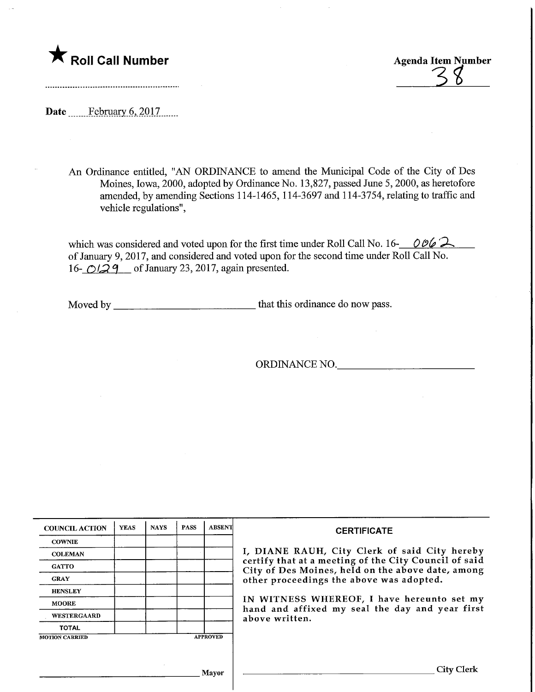

Roll Call Number Agenda Item Number<br>
35

Date ........Febmary.6,.201.7.

An Ordinance entitled, "AN ORDINANCE to amend the Municipal Code of the City of Des Moines, Iowa, 2000, adopted by Ordinance No. 13,827, passed June 5,2000, as heretofore amended, by amending Sections 1 14-1465, 114-3697 and I 14-3754, relating to traffic and vehicle regulations",

which was considered and voted upon for the first time under Roll Call No. 16- $\degree$  006  $\degree$ of January 9, 2017, and considered and voted upon for the second time under Roll Call No. 16- $O(29)$  of January 23, 2017, again presented.

Moved by that this ordinance do now pass.

ORDINANCE NO.

| <b>COUNCIL ACTION</b> | <b>YEAS</b> | <b>NAYS</b> | <b>PASS</b> | <b>ABSENT</b>   | <b>CERTIFICATE</b>                                                                                                                                                                                      |  |  |
|-----------------------|-------------|-------------|-------------|-----------------|---------------------------------------------------------------------------------------------------------------------------------------------------------------------------------------------------------|--|--|
| <b>COWNIE</b>         |             |             |             |                 | I, DIANE RAUH, City Clerk of said City hereby<br>certify that at a meeting of the City Council of said<br>City of Des Moines, held on the above date, among<br>other proceedings the above was adopted. |  |  |
| <b>COLEMAN</b>        |             |             |             |                 |                                                                                                                                                                                                         |  |  |
| <b>GATTO</b>          |             |             |             |                 |                                                                                                                                                                                                         |  |  |
| <b>GRAY</b>           |             |             |             |                 |                                                                                                                                                                                                         |  |  |
| <b>HENSLEY</b>        |             |             |             |                 |                                                                                                                                                                                                         |  |  |
| <b>MOORE</b>          |             |             |             |                 | IN WITNESS WHEREOF, I have hereunto set my<br>hand and affixed my seal the day and year first<br>above written.                                                                                         |  |  |
| <b>WESTERGAARD</b>    |             |             |             |                 |                                                                                                                                                                                                         |  |  |
| <b>TOTAL</b>          |             |             |             |                 |                                                                                                                                                                                                         |  |  |
| <b>MOTION CARRIED</b> |             |             |             | <b>APPROVED</b> |                                                                                                                                                                                                         |  |  |
|                       |             |             |             |                 |                                                                                                                                                                                                         |  |  |
|                       |             |             |             |                 |                                                                                                                                                                                                         |  |  |
| Mayor                 |             |             |             |                 | City                                                                                                                                                                                                    |  |  |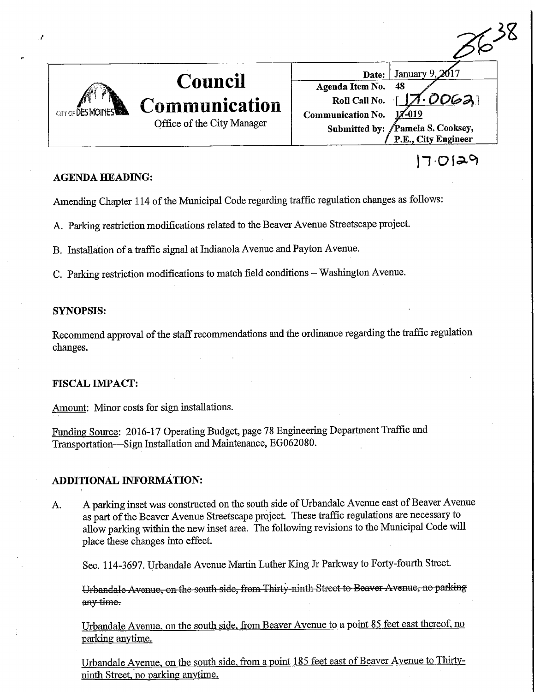

### **AGENDA HEADING:**

Amending Chapter 114 of the Municipal Code regarding traffic regulation changes as follows:

A. Parking restriction modifications related to the Beaver Avenue Streetscape project.

B. Installation of a traffic signal at Indianola Avenue and Payton Avenue.

C. Parking restriction modifications to match field conditions - Washington Avenue.

#### SYNOPSIS:

Recommend approval of the staff recommendations and the ordinance regarding the traffic regulation changes.

### FISCAL IMPACT:

Amount: Minor costs for sign installations.

Funding Source: 2016-17 Operating Budget, page 78 Engineering Department Traffic and Transportation—Sign Installation and Maintenance, EG062080.

### ADDITIONAL INFORMATION:

A. A parking inset was constructed on the south side of Urbandale Avenue east of Beaver Avenue as part of the Beaver Avenue Streetscape project. These traffic regulations are necessary to allow parking within the new inset area. The following revisions to the Municipal Code will place these changes into effect.

Sec. 114-3697. Urbandale Avenue Martin Luther King Jr Parkway to Forty-fourth Street.

Urbandale Avenue, on the south side, from Thirty ninth Street to Beaver Avenue, no parking any time-

Urbandale Avenue, on the south side, from Beaver Avenue to a point 85 feet east thereof, no parking anytime.

Urbandale Avenue, on the south side, from a point 185 feet east of Beaver Avenue to Thirtyninth Street, no parking anytime.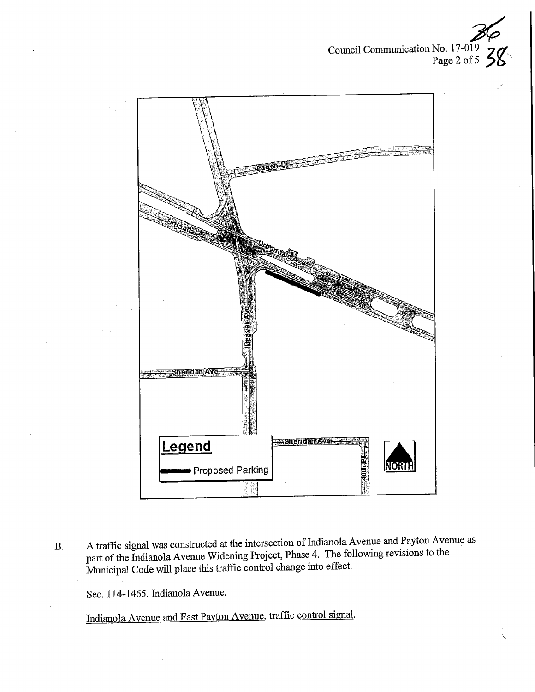Council Communication No. 17-019 z<br>?<br>. 70. age 2 or  $5$  7  $\sigma$ 



B. A traffic signal was constructed at the intersection of Indianola Avenue and Payton Avenue as part of the Indianola Avenue Widening Project, Phase 4. The following revisions to the Municipal Code will place this traffic control change into effect.

Sec. 114-1465. Indianola Avenue.

Indianola Avenue and East Pavton Avenue, traffic control signal,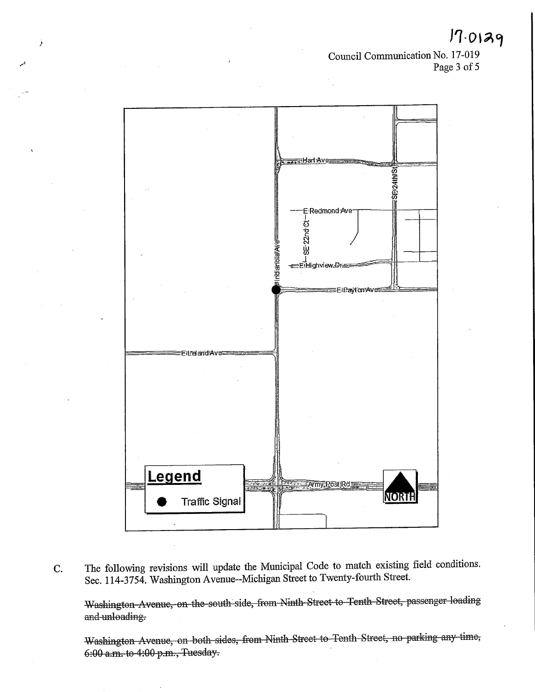$17.0129$ 

Council Communication No. 17-019 Page 3 of 5



C. The following revisions will update the Municipal Code to match existing field conditions. Sec. 114-3754. Washington Avenue-Michigan Street to Twenty-fourth Street.

Washington Avenue, on the south side, from Ninth Street to Tenth Street, passenger loading and unloading.

Washington Avenue, on both sides, from Ninth Street to Tenth Street, no parking any time; 6:00 a.m. to 1:00 p.m., Tuesday.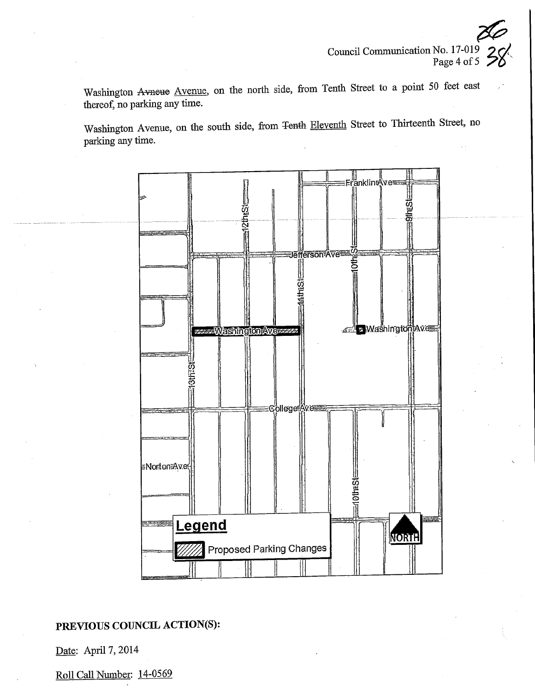$\frac{1}{2}$  $\frac{1}{2}$  $\frac{1}{2}$  $\frac{1}{2}$  $\frac{1}{2}$  $\frac{1}{2}$  $\frac{1}{2}$  $\frac{1}{2}$  $\frac{1}{2}$  $\frac{1}{2}$  $\frac{1}{2}$  $\frac{1}{2}$  $\frac{1}{2}$  $\sigma$   $\sim$   $\sigma$ 

Washington Avneue Avenue, on the north side, from Tenth Street to a point 50 feet east thereof, no parking any time.

Washington Avenue, on the south side, from <del>Tenth</del> Eleventh Street to Thirteenth Street, no parking any time.



# PREVIOUS COUNCIL ACTION(S):

Date: April 7, 2014

Roll Call Number: 14-0569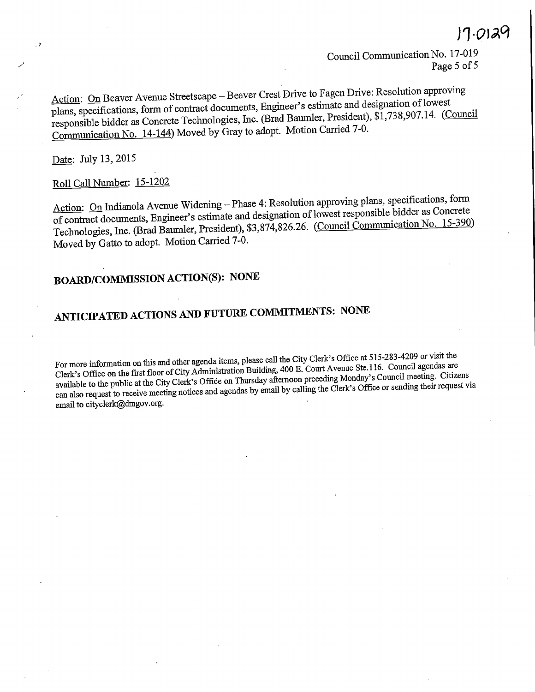$\sqrt{7} \cdot Q \sqrt{2Q}$ <br>Council Communication No. 17-019 Page 5 of 5

Action: On Beaver Avenue Streetscape – Beaver Crest Drive to Fagen Drive: Resolution approving plans, specifications, form of contract documents, Engineer's estimate and designation of lowest ns, specifications, form of contract documents,  $E_{\text{net}}$   $\Omega_{\text{med}}$  Beyrnley, President) \$1,738,907.14. (Cov  $R_{\text{non}}$  bidder as Concrete Technologies,  $\text{1.13}$ ,  $\text{1.14}$ .  $\text{1.14}$ .  $\text{1.14}$ .  $\text{1.14}$ .  $\text{1.14}$ .  $\text{1.14}$ .  $\text{1.14}$ .  $\text{1.14}$ .  $\text{1.14}$ .  $\text{1.14}$ .  $\text{1.14}$ .  $\text{1.14}$ .  $\text{1.14}$ .  $\text{1.14}$ Communication No. 14-144) Moved by Gray to adopt. Motion Carried 7-0.

Date: July 13, 2015

# Roll Call Number: 15-1202

Action: On Indianola Avenue Widening - Phase 4: Resolution approving plans, specifications, form of contract documents, Engineer's estimate and designation of lowest responsible bidder as Concrete contract documents, Engineer's estimate and designation of  $C_{\text{current}}$  communication No. 15-390) chnologies, Inc. (Brad Baumer, President),  $\frac{3}{2}$ ,  $\frac{5}{3}$ ,  $\frac{5}{3}$ ,  $\frac{2}{3}$ Moved by Gatto to adopt. Motion Carried 7-0.

# BOARD/COMMISSIONACTION(S): NONE

# ANTICIPATED ACTIONS AND FUTURE COMMITMENTS: NONE

For more information on this and other agenda items, please call the City Clerk's Office at 515-283-4209 or visit the Clerk's Office on the first floor of City Administration Building, 400 E. Court Avenue Ste.116. Council available to the public at the City Clerk's Office on Thursday afternoon preceding Monday's Council meeting. Citizens allable to the public at the City Clerk's Office on  $\frac{1}{2}$  and  $\frac{1}{2}$  and  $\frac{1}{2}$  are precising the Clerk's Office or sending their request Via m also request to receive meeting notices and agendas by email by calling the Clerk's Office or sending the Cler email to cityclerk@dmgov.org.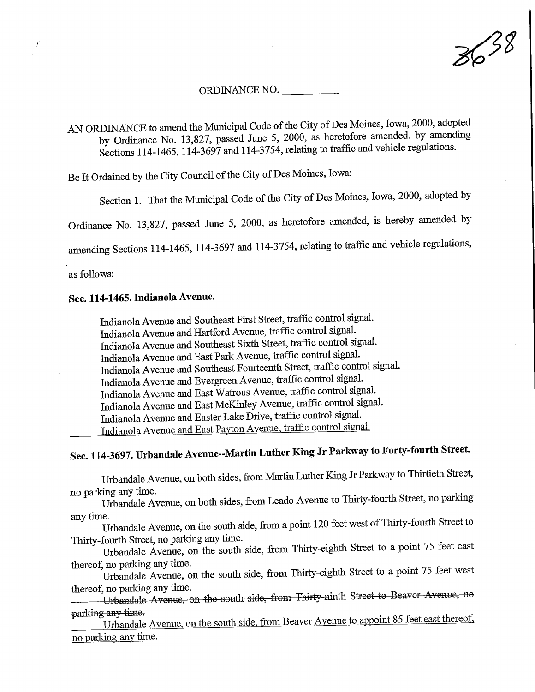3638

#### ORDINANCE NO.

AN ORDINANCE to amend the Municipal Code of the City of Des Moines, Iowa, 2000, adopted<br>by Ordinance No. 13,827, passed June 5, 2000, as heretofore amended, by amending  $\sigma$  Ordinance No. 13,827, passed June 5, 2000, as heretofore amended, 5,  $\sigma$  $\frac{\text{C}t}{\text{C}t}$  14-1465, 114-5697 and 114-5754, relating to traffic and vehicle regulations.

Be It Ordamed by fhe City Council of the City of.Des Moines, Iowa:

Section 1. That the Municipal Code of the City of Des Moines, Iowa, 2000, adopted by

Ordinance No. 13,827, passed June 5, 2000, as heretofore amended, is hereby amended by

amending Sections 114-1465, 114-3697 and 114-3754, relating to traffic and vehicle regulations,

as follows:

## Sec. 114-1465. Indianola Avenue.

Lidianola Avenue and Southeast First Street, traffic control signal. Lidianola Avenue and Hartford Avenue, traffic control signal. Indianola Avenue and Southeast Sixth Street, traffic control signal.<br>Indianola Avenue and East Park Avenue, traffic control signal. Indianola Avenue and East Park Avenue, traffic control signal. ladianola Avenue and Southeast Fourteenth Street, traffic control signal. Indianola Avenue and Evergreen Avenue, traffic control signal. Lidianola Avenue and East Watrous Avenue, traffic control signal. Lidianola Avenue and East McKinley Avenue, traffic control signal. Indianola Avenue and Easter Lake Drive, traffic control signal. ndianola Avenue and East Payton Ayemie. Hume control signal

# Sec. 114-3697. Urbandale Avenue-Martin Luther King Jr Parkway to Forty-fourth Street

Urbandale Avenue, on both sides, from Martin Luther King Jr Parkway to Thirtieth Street, no parking any time.

Urbandale Avenue, on both sides, from Leado Avenue to Thirty-fourth Street, no parking any time.

Urbandale Avenue, on the south side, from a point 120 feet west of Thirty-fourth Street to Thirty-fourth Street, no parking any time.

Urbandale Avenue, on the south side, from Thirty-eighth Street to a point 75 feet east thereof, no parking any time.

thereof, no parking any time. Urbandale Avenue, on the south side, from Thirty-eighth Street to a  $p = 1$ 

thereof, no parking any time. Urbandale Avenue, on the south side, from Thirty ninth Street to Beaver Avenue, no parking any time.

Urbandale Avenue, on the south side, from Beaver Avenue to appoint 85 feet east thereof, no parking any time.